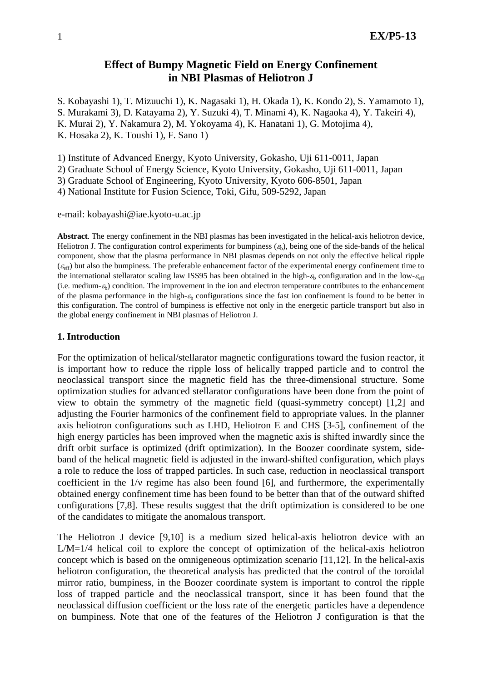# **Effect of Bumpy Magnetic Field on Energy Confinement in NBI Plasmas of Heliotron J**

S. Kobayashi 1), T. Mizuuchi 1), K. Nagasaki 1), H. Okada 1), K. Kondo 2), S. Yamamoto 1), S. Murakami 3), D. Katayama 2), Y. Suzuki 4), T. Minami 4), K. Nagaoka 4), Y. Takeiri 4), K. Murai 2), Y. Nakamura 2), M. Yokoyama 4), K. Hanatani 1), G. Motojima 4), K. Hosaka 2), K. Toushi 1), F. Sano 1)

1) Institute of Advanced Energy, Kyoto University, Gokasho, Uji 611-0011, Japan

2) Graduate School of Energy Science, Kyoto University, Gokasho, Uji 611-0011, Japan

3) Graduate School of Engineering, Kyoto University, Kyoto 606-8501, Japan

4) National Institute for Fusion Science, Toki, Gifu, 509-5292, Japan

e-mail: kobayashi@iae.kyoto-u.ac.jp

**Abstract**. The energy confinement in the NBI plasmas has been investigated in the helical-axis heliotron device, Heliotron J. The configuration control experiments for bumpiness  $(\varepsilon_b)$ , being one of the side-bands of the helical component, show that the plasma performance in NBI plasmas depends on not only the effective helical ripple  $(\varepsilon_{\text{eff}})$  but also the bumpiness. The preferable enhancement factor of the experimental energy confinement time to the international stellarator scaling law ISS95 has been obtained in the high- $\varepsilon_b$  configuration and in the low- $\varepsilon_{eff}$ (i.e. medium- $\epsilon_b$ ) condition. The improvement in the ion and electron temperature contributes to the enhancement of the plasma performance in the high- $\varepsilon_b$  configurations since the fast ion confinement is found to be better in this configuration. The control of bumpiness is effective not only in the energetic particle transport but also in the global energy confinement in NBI plasmas of Heliotron J.

#### **1. Introduction**

For the optimization of helical/stellarator magnetic configurations toward the fusion reactor, it is important how to reduce the ripple loss of helically trapped particle and to control the neoclassical transport since the magnetic field has the three-dimensional structure. Some optimization studies for advanced stellarator configurations have been done from the point of view to obtain the symmetry of the magnetic field (quasi-symmetry concept) [1,2] and adjusting the Fourier harmonics of the confinement field to appropriate values. In the planner axis heliotron configurations such as LHD, Heliotron E and CHS [3-5], confinement of the high energy particles has been improved when the magnetic axis is shifted inwardly since the drift orbit surface is optimized (drift optimization). In the Boozer coordinate system, sideband of the helical magnetic field is adjusted in the inward-shifted configuration, which plays a role to reduce the loss of trapped particles. In such case, reduction in neoclassical transport coefficient in the 1/ν regime has also been found [6], and furthermore, the experimentally obtained energy confinement time has been found to be better than that of the outward shifted configurations [7,8]. These results suggest that the drift optimization is considered to be one of the candidates to mitigate the anomalous transport.

The Heliotron J device [9,10] is a medium sized helical-axis heliotron device with an L/M=1/4 helical coil to explore the concept of optimization of the helical-axis heliotron concept which is based on the omnigeneous optimization scenario [11,12]. In the helical-axis heliotron configuration, the theoretical analysis has predicted that the control of the toroidal mirror ratio, bumpiness, in the Boozer coordinate system is important to control the ripple loss of trapped particle and the neoclassical transport, since it has been found that the neoclassical diffusion coefficient or the loss rate of the energetic particles have a dependence on bumpiness. Note that one of the features of the Heliotron J configuration is that the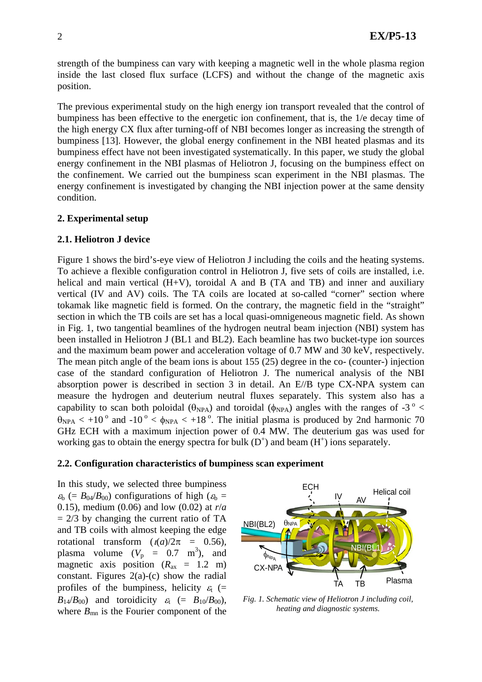strength of the bumpiness can vary with keeping a magnetic well in the whole plasma region inside the last closed flux surface (LCFS) and without the change of the magnetic axis position.

The previous experimental study on the high energy ion transport revealed that the control of bumpiness has been effective to the energetic ion confinement, that is, the 1/e decay time of the high energy CX flux after turning-off of NBI becomes longer as increasing the strength of bumpiness [13]. However, the global energy confinement in the NBI heated plasmas and its bumpiness effect have not been investigated systematically. In this paper, we study the global energy confinement in the NBI plasmas of Heliotron J, focusing on the bumpiness effect on the confinement. We carried out the bumpiness scan experiment in the NBI plasmas. The energy confinement is investigated by changing the NBI injection power at the same density condition.

## **2. Experimental setup**

## **2.1. Heliotron J device**

Figure 1 shows the bird's-eye view of Heliotron J including the coils and the heating systems. To achieve a flexible configuration control in Heliotron J, five sets of coils are installed, i.e. helical and main vertical (H+V), toroidal A and B (TA and TB) and inner and auxiliary vertical (IV and AV) coils. The TA coils are located at so-called "corner" section where tokamak like magnetic field is formed. On the contrary, the magnetic field in the "straight" section in which the TB coils are set has a local quasi-omnigeneous magnetic field. As shown in Fig. 1, two tangential beamlines of the hydrogen neutral beam injection (NBI) system has been installed in Heliotron J (BL1 and BL2). Each beamline has two bucket-type ion sources and the maximum beam power and acceleration voltage of 0.7 MW and 30 keV, respectively. The mean pitch angle of the beam ions is about 155 (25) degree in the co- (counter-) injection case of the standard configuration of Heliotron J. The numerical analysis of the NBI absorption power is described in section 3 in detail. An E//B type CX-NPA system can measure the hydrogen and deuterium neutral fluxes separately. This system also has a capability to scan both poloidal ( $\theta_{NPA}$ ) and toroidal ( $\phi_{NPA}$ ) angles with the ranges of -3<sup>°</sup> <  $\theta_{NPA}$  < +10<sup>o</sup> and -10<sup>o</sup> <  $\phi_{NPA}$  < +18<sup>o</sup>. The initial plasma is produced by 2nd harmonic 70 GHz ECH with a maximum injection power of 0.4 MW. The deuterium gas was used for working gas to obtain the energy spectra for bulk  $(D<sup>+</sup>)$  and beam  $(H<sup>+</sup>)$  ions separately.

#### **2.2. Configuration characteristics of bumpiness scan experiment**

In this study, we selected three bumpiness  $\varepsilon_b$  (=  $B_{04}/B_{00}$ ) configurations of high ( $\varepsilon_b$  = 0.15), medium (0.06) and low (0.02) at *r*/*a*  $= 2/3$  by changing the current ratio of TA and TB coils with almost keeping the edge rotational transform  $(1)(a)/2\pi = 0.56$ , plasma volume  $(V_p = 0.7 \text{ m}^3)$ , and magnetic axis position  $(R_{ax} = 1.2 \text{ m})$ constant. Figures  $2(a)-(c)$  show the radial profiles of the bumpiness, helicity  $\varepsilon_t$  (=  $B_{14}/B_{00}$ ) and toroidicity  $\varepsilon_1$  (=  $B_{10}/B_{00}$ ), where  $B_{mn}$  is the Fourier component of the



*Fig. 1. Schematic view of Heliotron J including coil, heating and diagnostic systems.*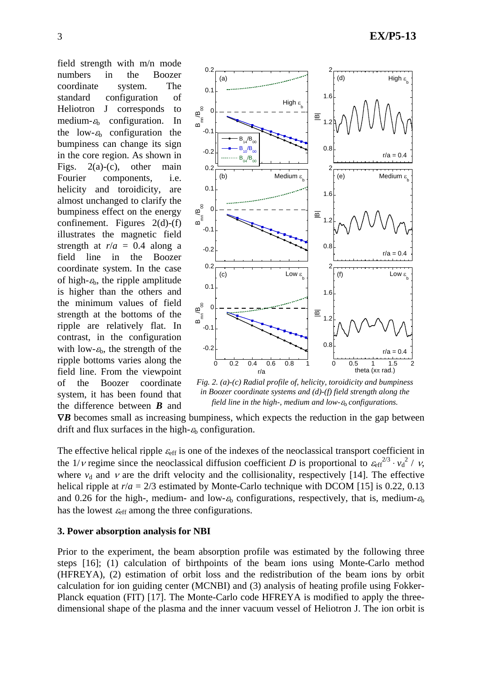field strength with m/n mode numbers in the Boozer coordinate system. The standard configuration of Heliotron J corresponds to medium- $\varepsilon_b$  configuration. In the low- $\varepsilon_b$  configuration the bumpiness can change its sign in the core region. As shown in Figs.  $2(a)-(c)$ , other main Fourier components, i.e. helicity and toroidicity, are almost unchanged to clarify the bumpiness effect on the energy confinement. Figures  $2(d)-(f)$ illustrates the magnetic field strength at  $r/a = 0.4$  along a field line in the Boozer coordinate system. In the case of high- $\varepsilon_b$ , the ripple amplitude is higher than the others and the minimum values of field strength at the bottoms of the ripple are relatively flat. In contrast, in the configuration with low- $\varepsilon_b$ , the strength of the ripple bottoms varies along the field line. From the viewpoint of the Boozer coordinate system, it has been found that the difference between *B* and



*Fig. 2. (a)-(c) Radial profile of, helicity, toroidicity and bumpiness in Boozer coordinate systems and (d)-(f) field strength along the field line in the high-, medium and low-ε<sub>b</sub> configurations.* 

∇*B* becomes small as increasing bumpiness, which expects the reduction in the gap between drift and flux surfaces in the high- $\varepsilon_b$  configuration.

The effective helical ripple  $\varepsilon_{\rm eff}$  is one of the indexes of the neoclassical transport coefficient in the 1/*v* regime since the neoclassical diffusion coefficient *D* is proportional to  $\varepsilon_{\rm eff}^{2/3} \cdot v_d^{2/7}$  *v*, where  $v_d$  and  $v$  are the drift velocity and the collisionality, respectively [14]. The effective helical ripple at  $r/a = 2/3$  estimated by Monte-Carlo technique with DCOM [15] is 0.22, 0.13 and 0.26 for the high-, medium- and low- $\varepsilon_b$  configurations, respectively, that is, medium- $\varepsilon_b$ has the lowest  $\varepsilon_{\text{eff}}$  among the three configurations.

#### **3. Power absorption analysis for NBI**

Prior to the experiment, the beam absorption profile was estimated by the following three steps [16]; (1) calculation of birthpoints of the beam ions using Monte-Carlo method (HFREYA), (2) estimation of orbit loss and the redistribution of the beam ions by orbit calculation for ion guiding center (MCNBI) and (3) analysis of heating profile using Fokker-Planck equation (FIT) [17]. The Monte-Carlo code HFREYA is modified to apply the threedimensional shape of the plasma and the inner vacuum vessel of Heliotron J. The ion orbit is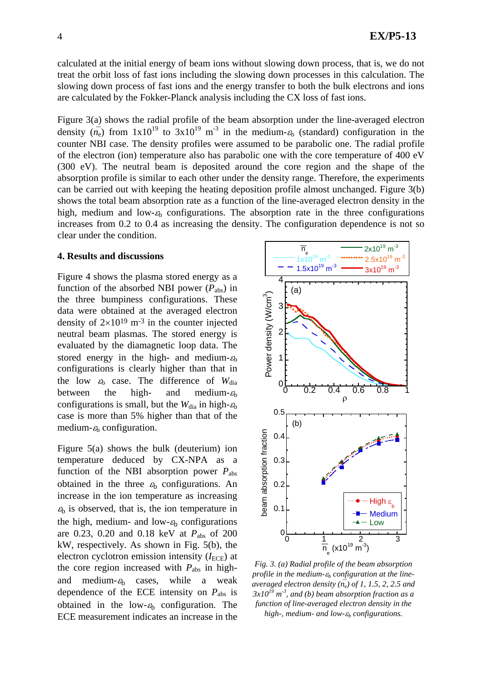calculated at the initial energy of beam ions without slowing down process, that is, we do not treat the orbit loss of fast ions including the slowing down processes in this calculation. The slowing down process of fast ions and the energy transfer to both the bulk electrons and ions are calculated by the Fokker-Planck analysis including the CX loss of fast ions.

Figure 3(a) shows the radial profile of the beam absorption under the line-averaged electron density  $(n_e)$  from  $1x10^{19}$  to  $3x10^{19}$  m<sup>-3</sup> in the medium- $\varepsilon_b$  (standard) configuration in the counter NBI case. The density profiles were assumed to be parabolic one. The radial profile of the electron (ion) temperature also has parabolic one with the core temperature of 400 eV (300 eV). The neutral beam is deposited around the core region and the shape of the absorption profile is similar to each other under the density range. Therefore, the experiments can be carried out with keeping the heating deposition profile almost unchanged. Figure 3(b) shows the total beam absorption rate as a function of the line-averaged electron density in the high, medium and low- $\epsilon_b$  configurations. The absorption rate in the three configurations increases from 0.2 to 0.4 as increasing the density. The configuration dependence is not so clear under the condition.

#### **4. Results and discussions**

Figure 4 shows the plasma stored energy as a function of the absorbed NBI power  $(P_{\text{abs}})$  in the three bumpiness configurations. These data were obtained at the averaged electron density of  $2\times10^{19}$  m<sup>-3</sup> in the counter injected neutral beam plasmas. The stored energy is evaluated by the diamagnetic loop data. The stored energy in the high- and medium- $\varepsilon_b$ configurations is clearly higher than that in the low  $\varepsilon_b$  case. The difference of  $W_{dia}$ between the high- and medium- $\varepsilon_b$ configurations is small, but the  $W_{dia}$  in high- $\varepsilon_b$ case is more than 5% higher than that of the medium- $\varepsilon_b$  configuration.

Figure 5(a) shows the bulk (deuterium) ion temperature deduced by CX-NPA as a function of the NBI absorption power *P*abs obtained in the three  $\varepsilon_b$  configurations. An increase in the ion temperature as increasing  $\varepsilon_b$  is observed, that is, the ion temperature in the high, medium- and low- $\varepsilon_b$  configurations are 0.23, 0.20 and 0.18 keV at *P*abs of 200 kW, respectively. As shown in Fig. 5(b), the electron cyclotron emission intensity  $(I_{\text{ECE}})$  at the core region increased with  $P_{\text{abs}}$  in highand medium- $\varepsilon_b$  cases, while a weak dependence of the ECE intensity on *P*abs is obtained in the low- $\varepsilon_b$  configuration. The ECE measurement indicates an increase in the



*Fig. 3. (a) Radial profile of the beam absorption profile in the medium-*ε*b configuration at the lineaveraged electron density*  $(n_e)$  *of 1, 1.5, 2, 2.5 and 3x1019 m-3, and (b) beam absorption fraction as a function of line-averaged electron density in the high-, medium- and low-*ε*b configurations.*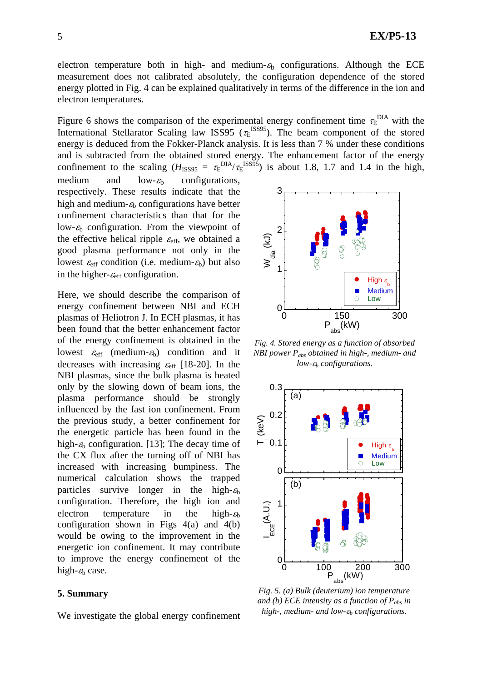electron temperature both in high- and medium- $\varepsilon$ <sub>h</sub> configurations. Although the ECE measurement does not calibrated absolutely, the configuration dependence of the stored energy plotted in Fig. 4 can be explained qualitatively in terms of the difference in the ion and electron temperatures.

Figure 6 shows the comparison of the experimental energy confinement time  $\tau_E^{\text{DIA}}$  with the International Stellarator Scaling law ISS95 ( $\tau_E$ <sup>ISS95</sup>). The beam component of the stored energy is deduced from the Fokker-Planck analysis. It is less than 7 % under these conditions and is subtracted from the obtained stored energy. The enhancement factor of the energy confinement to the scaling  $(H_{ISS95} = \tau_E^{DIA}/\tau_E^{ISS95})$  is about 1.8, 1.7 and 1.4 in the high,

medium and  $low-\varepsilon_b$  configurations, respectively. These results indicate that the high and medium- $\varepsilon_b$  configurations have better confinement characteristics than that for the low- $\varepsilon_b$  configuration. From the viewpoint of the effective helical ripple  $\varepsilon_{\text{eff}}$ , we obtained a good plasma performance not only in the lowest  $\varepsilon_{\text{eff}}$  condition (i.e. medium- $\varepsilon_{\text{b}}$ ) but also in the higher- $\varepsilon_{\text{eff}}$  configuration.

Here, we should describe the comparison of energy confinement between NBI and ECH plasmas of Heliotron J. In ECH plasmas, it has been found that the better enhancement factor of the energy confinement is obtained in the lowest  $\varepsilon_{\text{eff}}$  (medium- $\varepsilon_{\text{b}}$ ) condition and it decreases with increasing  $\varepsilon_{\text{eff}}$  [18-20]. In the NBI plasmas, since the bulk plasma is heated only by the slowing down of beam ions, the plasma performance should be strongly influenced by the fast ion confinement. From the previous study, a better confinement for the energetic particle has been found in the high- $\varepsilon_b$  configuration. [13]; The decay time of the CX flux after the turning off of NBI has increased with increasing bumpiness. The numerical calculation shows the trapped particles survive longer in the high- $\varepsilon_b$ configuration. Therefore, the high ion and electron temperature in the high- $\varepsilon_b$ configuration shown in Figs  $4(a)$  and  $4(b)$ would be owing to the improvement in the energetic ion confinement. It may contribute to improve the energy confinement of the high- $\varepsilon_b$  case.

#### **5. Summary**

We investigate the global energy confinement



*Fig. 4. Stored energy as a function of absorbed NBI power Pabs obtained in high-, medium- and low-*ε*b configurations.* 



*Fig. 5. (a) Bulk (deuterium) ion temperature and (b) ECE intensity as a function of Pabs in high-, medium- and low-*ε*b configurations.*